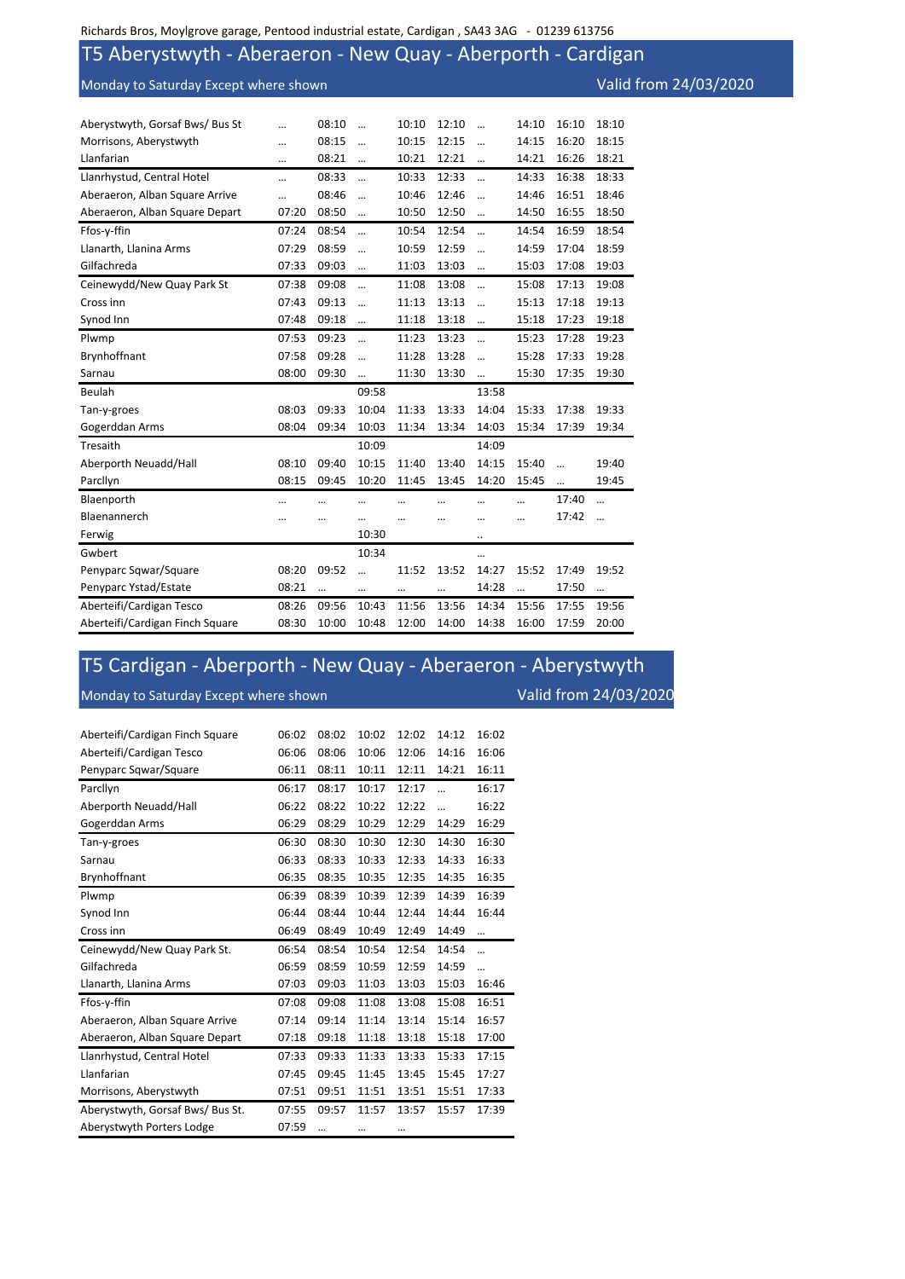## T5 Aberystwyth - Aberaeron - New Quay - Aberporth - Cardigan

Monday to Saturday Except where shown Valid from 24/03/2020

| Aberystwyth, Gorsaf Bws/ Bus St |       | 08:10     | $\ddotsc$ | 10:10 | 12:10    |            | 14:10     | 16:10 | 18:10     |
|---------------------------------|-------|-----------|-----------|-------|----------|------------|-----------|-------|-----------|
| Morrisons, Aberystwyth          |       | 08:15     | $\ddotsc$ | 10:15 | 12:15    | $\ddotsc$  | 14:15     | 16:20 | 18:15     |
| Llanfarian                      |       | 08:21     | $\cdots$  | 10:21 | 12:21    | $\cdots$   | 14:21     | 16:26 | 18:21     |
| Llanrhystud, Central Hotel      |       | 08:33     | $\ddotsc$ | 10:33 | 12:33    | $\dddotsc$ | 14:33     | 16:38 | 18:33     |
| Aberaeron, Alban Square Arrive  |       | 08:46     | $\ddotsc$ | 10:46 | 12:46    | $\ddotsc$  | 14:46     | 16:51 | 18:46     |
| Aberaeron, Alban Square Depart  | 07:20 | 08:50     | $\cdots$  | 10:50 | 12:50    | $\cdots$   | 14:50     | 16:55 | 18:50     |
| Ffos-y-ffin                     | 07:24 | 08:54     |           | 10:54 | 12:54    |            | 14:54     | 16:59 | 18:54     |
| Llanarth, Llanina Arms          | 07:29 | 08:59     |           | 10:59 | 12:59    |            | 14:59     | 17:04 | 18:59     |
| Gilfachreda                     | 07:33 | 09:03     | $\ddotsc$ | 11:03 | 13:03    | $\ddotsc$  | 15:03     | 17:08 | 19:03     |
| Ceinewydd/New Quay Park St      | 07:38 | 09:08     | $\ddotsc$ | 11:08 | 13:08    | $\ddotsc$  | 15:08     | 17:13 | 19:08     |
| Cross inn                       | 07:43 | 09:13     | $\ddotsc$ | 11:13 | 13:13    | $\ddotsc$  | 15:13     | 17:18 | 19:13     |
| Synod Inn                       | 07:48 | 09:18     |           | 11:18 | 13:18    |            | 15:18     | 17:23 | 19:18     |
| Plwmp                           | 07:53 | 09:23     | $\ddotsc$ | 11:23 | 13:23    | $\ddotsc$  | 15:23     | 17:28 | 19:23     |
| Brynhoffnant                    | 07:58 | 09:28     | $\ddotsc$ | 11:28 | 13:28    | $\ddotsc$  | 15:28     | 17:33 | 19:28     |
| Sarnau                          | 08:00 | 09:30     |           | 11:30 | 13:30    |            | 15:30     | 17:35 | 19:30     |
| Beulah                          |       |           | 09:58     |       |          | 13:58      |           |       |           |
| Tan-y-groes                     | 08:03 | 09:33     | 10:04     | 11:33 | 13:33    | 14:04      | 15:33     | 17:38 | 19:33     |
| Gogerddan Arms                  | 08:04 | 09:34     | 10:03     | 11:34 | 13:34    | 14:03      | 15:34     | 17:39 | 19:34     |
| Tresaith                        |       |           | 10:09     |       |          | 14:09      |           |       |           |
| Aberporth Neuadd/Hall           | 08:10 | 09:40     | 10:15     | 11:40 | 13:40    | 14:15      | 15:40     |       | 19:40     |
| Parcllyn                        | 08:15 | 09:45     | 10:20     | 11:45 | 13:45    | 14:20      | 15:45     |       | 19:45     |
| Blaenporth                      |       |           |           |       |          |            |           | 17:40 | $\cdots$  |
| Blaenannerch                    |       |           |           |       |          |            |           | 17:42 | $\ddotsc$ |
| Ferwig                          |       |           | 10:30     |       |          |            |           |       |           |
| Gwbert                          |       |           | 10:34     |       |          |            |           |       |           |
| Penyparc Sqwar/Square           | 08:20 | 09:52     |           | 11:52 | 13:52    | 14:27      | 15:52     | 17:49 | 19:52     |
| Penyparc Ystad/Estate           | 08:21 | $\ddotsc$ | $\cdots$  |       | $\cdots$ | 14:28      | $\ddotsc$ | 17:50 | $\cdots$  |
| Aberteifi/Cardigan Tesco        | 08:26 | 09:56     | 10:43     | 11:56 | 13:56    | 14:34      | 15:56     | 17:55 | 19:56     |
|                                 |       |           |           |       |          |            |           |       |           |

## T5 Cardigan - Aberporth - New Quay - Aberaeron - Aberystwyth Monday to Saturday Except where shown Valid from 24/03/2020

| Aberteifi/Cardigan Finch Square  | 06:02 | 08:02     | 10:02 | 12:02 | 14:12     | 16:02     |
|----------------------------------|-------|-----------|-------|-------|-----------|-----------|
| Aberteifi/Cardigan Tesco         | 06:06 | 08:06     | 10:06 | 12:06 | 14:16     | 16:06     |
| Penyparc Sqwar/Square            | 06:11 | 08:11     | 10:11 | 12:11 | 14:21     | 16:11     |
| Parcllyn                         | 06:17 | 08:17     | 10:17 | 12:17 | $\ddotsc$ | 16:17     |
| Aberporth Neuadd/Hall            | 06:22 | 08:22     | 10:22 | 12:22 | $\ddotsc$ | 16:22     |
| Gogerddan Arms                   | 06:29 | 08:29     | 10:29 | 12:29 | 14:29     | 16:29     |
| Tan-y-groes                      | 06:30 | 08:30     | 10:30 | 12:30 | 14:30     | 16:30     |
| Sarnau                           | 06:33 | 08:33     | 10:33 | 12:33 | 14:33     | 16:33     |
| Brynhoffnant                     | 06:35 | 08:35     | 10:35 | 12:35 | 14:35     | 16:35     |
| Plwmp                            | 06:39 | 08:39     | 10:39 | 12:39 | 14:39     | 16:39     |
| Synod Inn                        | 06:44 | 08:44     | 10:44 | 12:44 | 14:44     | 16:44     |
| Cross inn                        | 06:49 | 08:49     | 10:49 | 12:49 | 14:49     | $\ddotsc$ |
| Ceinewydd/New Quay Park St.      | 06:54 | 08:54     | 10:54 | 12:54 | 14:54     | $\ddotsc$ |
| Gilfachreda                      | 06:59 | 08:59     | 10:59 | 12:59 | 14:59     | $\ddotsc$ |
| Llanarth, Llanina Arms           | 07:03 | 09:03     | 11:03 | 13:03 | 15:03     | 16:46     |
| Ffos-y-ffin                      | 07:08 | 09:08     | 11:08 | 13:08 | 15:08     | 16:51     |
| Aberaeron, Alban Square Arrive   | 07:14 | 09:14     | 11:14 | 13:14 | 15:14     | 16:57     |
| Aberaeron, Alban Square Depart   | 07:18 | 09:18     | 11:18 | 13:18 | 15:18     | 17:00     |
| Llanrhystud, Central Hotel       | 07:33 | 09:33     | 11:33 | 13:33 | 15:33     | 17:15     |
| Llanfarian                       | 07:45 | 09:45     | 11:45 | 13:45 | 15:45     | 17:27     |
| Morrisons, Aberystwyth           | 07:51 | 09:51     | 11:51 | 13:51 | 15:51     | 17:33     |
| Aberystwyth, Gorsaf Bws/ Bus St. | 07:55 | 09:57     | 11:57 | 13:57 | 15:57     | 17:39     |
| Aberystwyth Porters Lodge        | 07:59 | $\ddotsc$ |       |       |           |           |